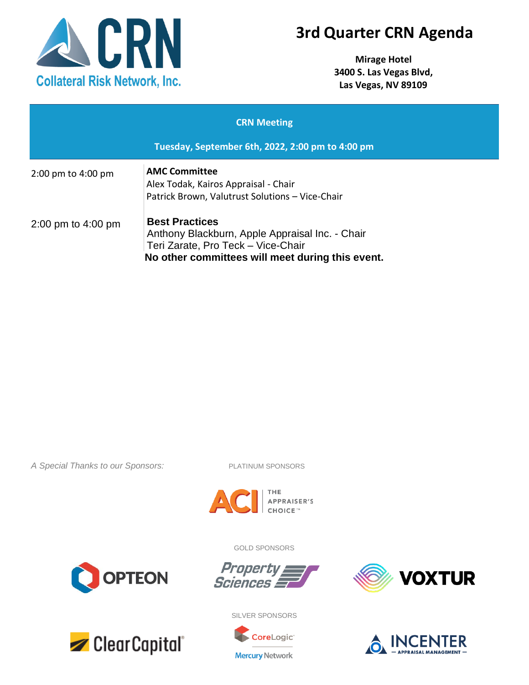

## **3rd Quarter CRN Agenda**

**Mirage Hotel 3400 S. Las Vegas Blvd, Las Vegas, NV 89109**

| <b>CRN Meeting</b>                               |                                                                                                                                                                    |  |
|--------------------------------------------------|--------------------------------------------------------------------------------------------------------------------------------------------------------------------|--|
| Tuesday, September 6th, 2022, 2:00 pm to 4:00 pm |                                                                                                                                                                    |  |
| $2:00 \text{ pm}$ to $4:00 \text{ pm}$           | <b>AMC Committee</b><br>Alex Todak, Kairos Appraisal - Chair<br>Patrick Brown, Valutrust Solutions - Vice-Chair                                                    |  |
| 2:00 pm to $4:00$ pm                             | <b>Best Practices</b><br>Anthony Blackburn, Apple Appraisal Inc. - Chair<br>Teri Zarate, Pro Teck - Vice-Chair<br>No other committees will meet during this event. |  |

*A Special Thanks to our Sponsors:* PLATINUM SPONSORS



GOLD SPONSORS

Property

Sciences

**OPTEON** 



SILVER SPONSORS